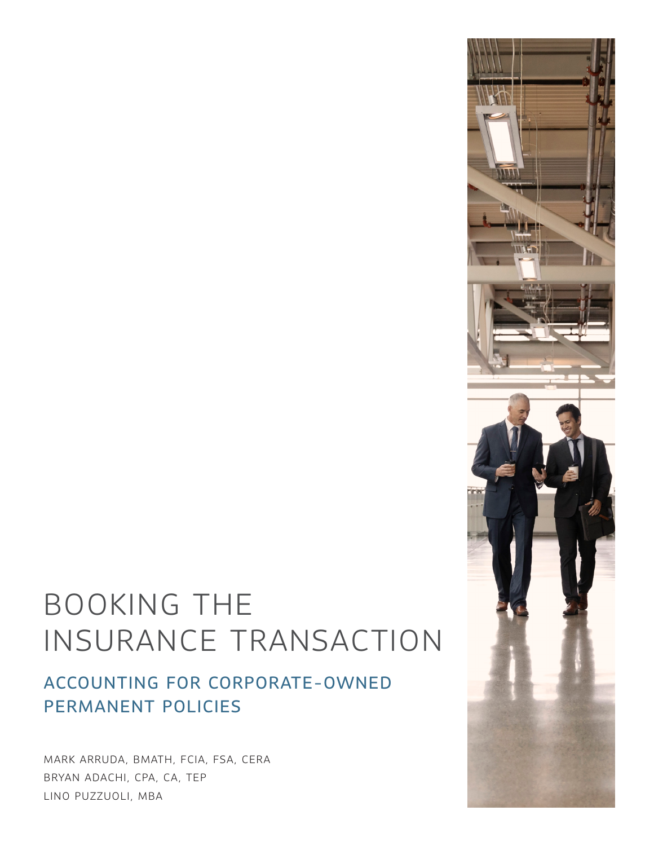# BOOKING THE INSURANCE TRANSACTION

# ACCOUNTING FOR CORPORATE-OWNED PERMANENT POLICIES

MARK ARRUDA, BMATH, FCIA, FSA, CERA BRYAN ADACHI, CPA, CA, TEP LINO PUZZUOLI, MBA

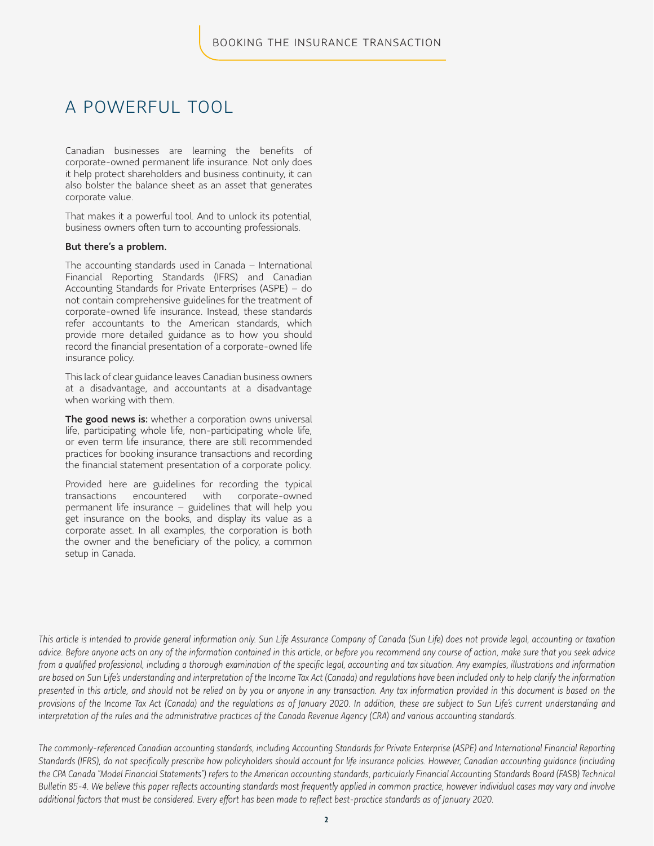### A POWERFUL TOOL

Canadian businesses are learning the benefits of corporate-owned permanent life insurance. Not only does it help protect shareholders and business continuity, it can also bolster the balance sheet as an asset that generates corporate value.

That makes it a powerful tool. And to unlock its potential, business owners often turn to accounting professionals.

#### But there's a problem.

The accounting standards used in Canada – International Financial Reporting Standards (IFRS) and Canadian Accounting Standards for Private Enterprises (ASPE) – do not contain comprehensive guidelines for the treatment of corporate-owned life insurance. Instead, these standards refer accountants to the American standards, which provide more detailed guidance as to how you should record the financial presentation of a corporate-owned life insurance policy.

This lack of clear guidance leaves Canadian business owners at a disadvantage, and accountants at a disadvantage when working with them.

The good news is: whether a corporation owns universal life, participating whole life, non-participating whole life, or even term life insurance, there are still recommended practices for booking insurance transactions and recording the financial statement presentation of a corporate policy.

Provided here are guidelines for recording the typical transactions encountered with corporate-owned permanent life insurance – guidelines that will help you get insurance on the books, and display its value as a corporate asset. In all examples, the corporation is both the owner and the beneficiary of the policy, a common setup in Canada.

*This article is intended to provide general information only. Sun Life Assurance Company of Canada (Sun Life) does not provide legal, accounting or taxation advice. Before anyone acts on any of the information contained in this article, or before you recommend any course of action, make sure that you seek advice from a qualified professional, including a thorough examination of the specific legal, accounting and tax situation. Any examples, illustrations and information are based on Sun Life's understanding and interpretation of the Income Tax Act (Canada) and regulations have been included only to help clarify the information presented in this article, and should not be relied on by you or anyone in any transaction. Any tax information provided in this document is based on the provisions of the Income Tax Act (Canada) and the regulations as of January 2020. In addition, these are subject to Sun Life's current understanding and interpretation of the rules and the administrative practices of the Canada Revenue Agency (CRA) and various accounting standards.*

*The commonly-referenced Canadian accounting standards, including Accounting Standards for Private Enterprise (ASPE) and International Financial Reporting Standards (IFRS), do not specifically prescribe how policyholders should account for life insurance policies. However, Canadian accounting guidance (including the CPA Canada "Model Financial Statements") refers to the American accounting standards, particularly Financial Accounting Standards Board (FASB) Technical Bulletin 85-4. We believe this paper reflects accounting standards most frequently applied in common practice, however individual cases may vary and involve additional factors that must be considered. Every effort has been made to reflect best-practice standards as of January 2020.*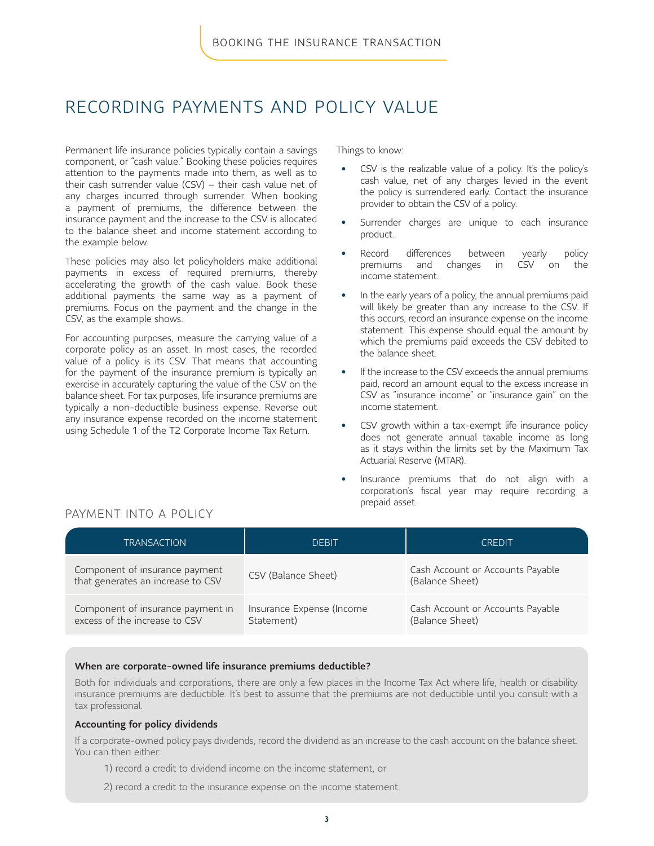### RECORDING PAYMENTS AND POLICY VALUE

Permanent life insurance policies typically contain a savings component, or "cash value." Booking these policies requires attention to the payments made into them, as well as to their cash surrender value (CSV) – their cash value net of any charges incurred through surrender. When booking a payment of premiums, the difference between the insurance payment and the increase to the CSV is allocated to the balance sheet and income statement according to the example below.

These policies may also let policyholders make additional payments in excess of required premiums, thereby accelerating the growth of the cash value. Book these additional payments the same way as a payment of premiums. Focus on the payment and the change in the CSV, as the example shows.

For accounting purposes, measure the carrying value of a corporate policy as an asset. In most cases, the recorded value of a policy is its CSV. That means that accounting for the payment of the insurance premium is typically an exercise in accurately capturing the value of the CSV on the balance sheet. For tax purposes, life insurance premiums are typically a non-deductible business expense. Reverse out any insurance expense recorded on the income statement using Schedule 1 of the T2 Corporate Income Tax Return.

Things to know:

- CSV is the realizable value of a policy. It's the policy's cash value, net of any charges levied in the event the policy is surrendered early. Contact the insurance provider to obtain the CSV of a policy.
- Surrender charges are unique to each insurance product.
- Record differences between yearly policy premiums and changes in CSV on the income statement.
- In the early years of a policy, the annual premiums paid will likely be greater than any increase to the CSV. If this occurs, record an insurance expense on the income statement. This expense should equal the amount by which the premiums paid exceeds the CSV debited to the balance sheet.
- If the increase to the CSV exceeds the annual premiums paid, record an amount equal to the excess increase in CSV as "insurance income" or "insurance gain" on the income statement.
- CSV growth within a tax-exempt life insurance policy does not generate annual taxable income as long as it stays within the limits set by the Maximum Tax Actuarial Reserve (MTAR).
- Insurance premiums that do not align with a corporation's fiscal year may require recording a prepaid asset.

#### PAYMENT INTO A POLICY

| <b>TRANSACTION</b>                                                  | DEBIT                                   | <b>CREDIT</b>                                       |
|---------------------------------------------------------------------|-----------------------------------------|-----------------------------------------------------|
| Component of insurance payment<br>that generates an increase to CSV | CSV (Balance Sheet)                     | Cash Account or Accounts Payable<br>(Balance Sheet) |
| Component of insurance payment in<br>excess of the increase to CSV  | Insurance Expense (Income<br>Statement) | Cash Account or Accounts Payable<br>(Balance Sheet) |

#### When are corporate-owned life insurance premiums deductible?

Both for individuals and corporations, there are only a few places in the Income Tax Act where life, health or disability insurance premiums are deductible. It's best to assume that the premiums are not deductible until you consult with a tax professional.

#### Accounting for policy dividends

If a corporate-owned policy pays dividends, record the dividend as an increase to the cash account on the balance sheet. You can then either:

- 1) record a credit to dividend income on the income statement, or
- 2) record a credit to the insurance expense on the income statement.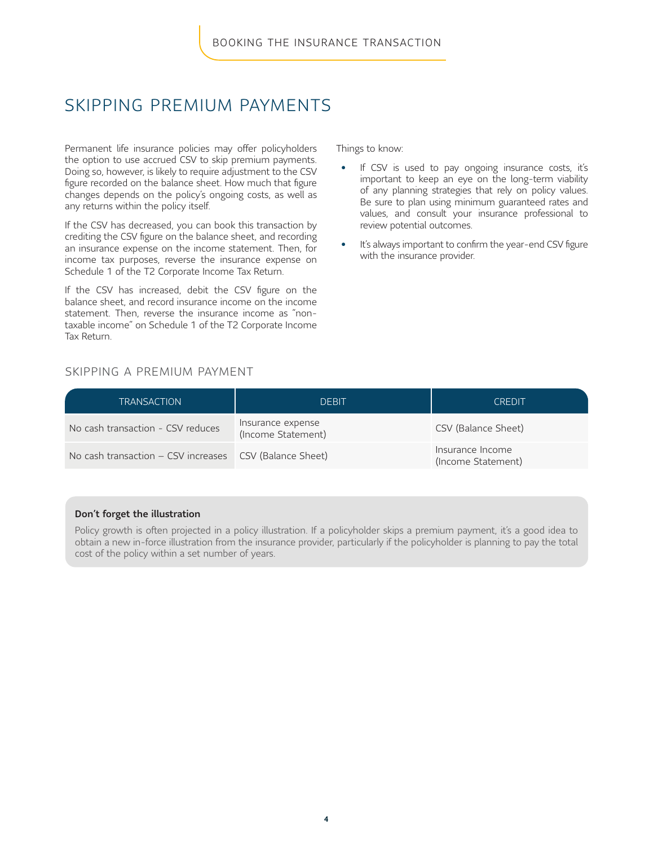# SKIPPING PREMIUM PAYMENTS

Permanent life insurance policies may offer policyholders the option to use accrued CSV to skip premium payments. Doing so, however, is likely to require adjustment to the CSV figure recorded on the balance sheet. How much that figure changes depends on the policy's ongoing costs, as well as any returns within the policy itself.

If the CSV has decreased, you can book this transaction by crediting the CSV figure on the balance sheet, and recording an insurance expense on the income statement. Then, for income tax purposes, reverse the insurance expense on Schedule 1 of the T2 Corporate Income Tax Return.

If the CSV has increased, debit the CSV figure on the balance sheet, and record insurance income on the income statement. Then, reverse the insurance income as "nontaxable income" on Schedule 1 of the T2 Corporate Income Tax Return.

Things to know:

- If CSV is used to pay ongoing insurance costs, it's important to keep an eye on the long-term viability of any planning strategies that rely on policy values. Be sure to plan using minimum guaranteed rates and values, and consult your insurance professional to review potential outcomes.
- It's always important to confirm the year-end CSV figure with the insurance provider.

#### SKIPPING A PREMIUM PAYMENT

| <b>TRANSACTION</b>                                      | <b>DEBIT</b>                            | <b>CREDIT</b>                          |
|---------------------------------------------------------|-----------------------------------------|----------------------------------------|
| No cash transaction - CSV reduces                       | Insurance expense<br>(Income Statement) | CSV (Balance Sheet)                    |
| No cash transaction – CSV increases CSV (Balance Sheet) |                                         | Insurance Income<br>(Income Statement) |

#### Don't forget the illustration

Policy growth is often projected in a policy illustration. If a policyholder skips a premium payment, it's a good idea to obtain a new in-force illustration from the insurance provider, particularly if the policyholder is planning to pay the total cost of the policy within a set number of years.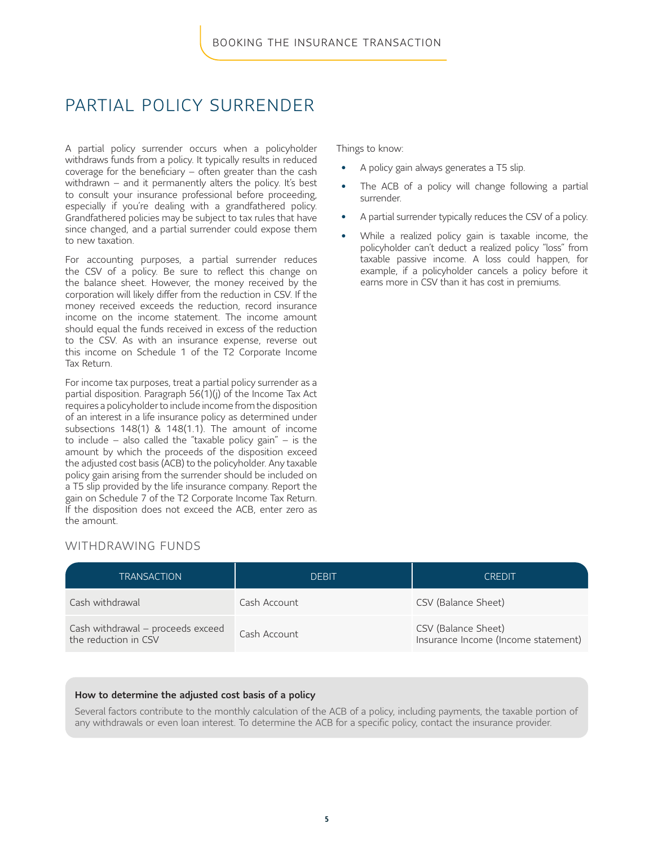# PARTIAL POLICY SURRENDER

A partial policy surrender occurs when a policyholder withdraws funds from a policy. It typically results in reduced coverage for the beneficiary – often greater than the cash withdrawn – and it permanently alters the policy. It's best to consult your insurance professional before proceeding, especially if you're dealing with a grandfathered policy. Grandfathered policies may be subject to tax rules that have since changed, and a partial surrender could expose them to new taxation.

For accounting purposes, a partial surrender reduces the CSV of a policy. Be sure to reflect this change on the balance sheet. However, the money received by the corporation will likely differ from the reduction in CSV. If the money received exceeds the reduction, record insurance income on the income statement. The income amount should equal the funds received in excess of the reduction to the CSV. As with an insurance expense, reverse out this income on Schedule 1 of the T2 Corporate Income Tax Return.

For income tax purposes, treat a partial policy surrender as a partial disposition. Paragraph 56(1)(j) of the Income Tax Act requires a policyholder to include income from the disposition of an interest in a life insurance policy as determined under subsections 148(1) & 148(1.1). The amount of income to include – also called the "taxable policy gain" – is the amount by which the proceeds of the disposition exceed the adjusted cost basis (ACB) to the policyholder. Any taxable policy gain arising from the surrender should be included on a T5 slip provided by the life insurance company. Report the gain on Schedule 7 of the T2 Corporate Income Tax Return. If the disposition does not exceed the ACB, enter zero as the amount.

Things to know:

- A policy gain always generates a T5 slip.
- The ACB of a policy will change following a partial surrender.
- A partial surrender typically reduces the CSV of a policy.
- While a realized policy gain is taxable income, the policyholder can't deduct a realized policy "loss" from taxable passive income. A loss could happen, for example, if a policyholder cancels a policy before it earns more in CSV than it has cost in premiums.

#### WITHDRAWING FUNDS

| <b>TRANSACTION</b>                                        | DEBIT        | <b>CREDIT</b>                                              |
|-----------------------------------------------------------|--------------|------------------------------------------------------------|
| Cash withdrawal                                           | Cash Account | CSV (Balance Sheet)                                        |
| Cash withdrawal - proceeds exceed<br>the reduction in CSV | Cash Account | CSV (Balance Sheet)<br>Insurance Income (Income statement) |

#### How to determine the adjusted cost basis of a policy

Several factors contribute to the monthly calculation of the ACB of a policy, including payments, the taxable portion of any withdrawals or even loan interest. To determine the ACB for a specific policy, contact the insurance provider.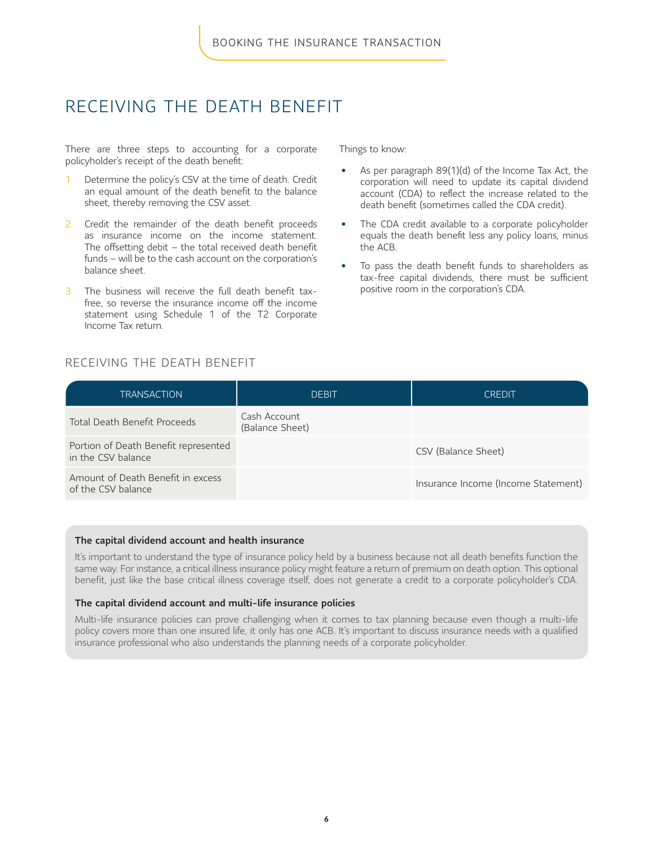### RECEIVING THE DEATH BENEFIT

There are three steps to accounting for a corporate policyholder's receipt of the death benefit:

- 1. Determine the policy's CSV at the time of death. Credit an equal amount of the death benefit to the balance sheet, thereby removing the CSV asset.
- 2. Credit the remainder of the death benefit proceeds as insurance income on the income statement. The offsetting debit  $-$  the total received death benefit funds – will be to the cash account on the corporation's balance sheet.
- 3. The business will receive the full death benefit taxfree, so reverse the insurance income off the income statement using Schedule 1 of the T2 Corporate Income Tax return.

Things to know:

- As per paragraph 89(1)(d) of the Income Tax Act, the corporation will need to update its capital dividend account (CDA) to reflect the increase related to the death benefit (sometimes called the CDA credit).
- The CDA credit available to a corporate policyholder equals the death benefit less any policy loans, minus the ACB.
- To pass the death benefit funds to shareholders as tax-free capital dividends, there must be sufficient positive room in the corporation's CDA.

#### RECEIVING THE DEATH BENEFIT

| TRANSACTION                                                | <b>DEBIT</b>                    | CREDIT                              |
|------------------------------------------------------------|---------------------------------|-------------------------------------|
| Total Death Benefit Proceeds                               | Cash Account<br>(Balance Sheet) |                                     |
| Portion of Death Benefit represented<br>in the CSV balance |                                 | CSV (Balance Sheet)                 |
| Amount of Death Benefit in excess<br>of the CSV balance    |                                 | Insurance Income (Income Statement) |

#### The capital dividend account and health insurance

It's important to understand the type of insurance policy held by a business because not all death benefits function the same way. For instance, a critical illness insurance policy might feature a return of premium on death option. This optional benefit, just like the base critical illness coverage itself, does not generate a credit to a corporate policyholder's CDA.

#### The capital dividend account and multi-life insurance policies

Multi-life insurance policies can prove challenging when it comes to tax planning because even though a multi-life policy covers more than one insured life, it only has one ACB. It's important to discuss insurance needs with a qualified insurance professional who also understands the planning needs of a corporate policyholder.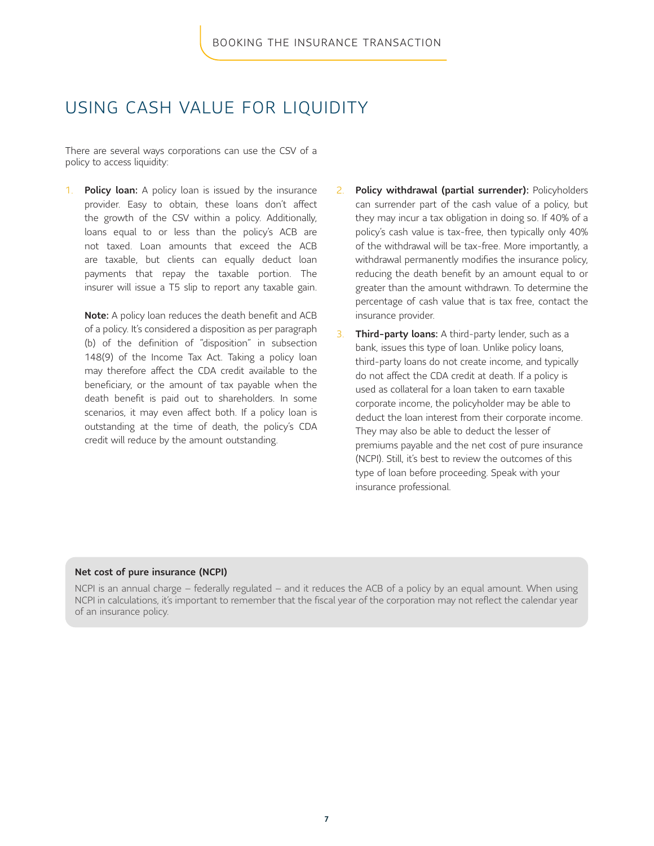### USING CASH VALUE FOR LIQUIDITY

There are several ways corporations can use the CSV of a policy to access liquidity:

1. **Policy loan:** A policy loan is issued by the insurance provider. Easy to obtain, these loans don't affect the growth of the CSV within a policy. Additionally, loans equal to or less than the policy's ACB are not taxed. Loan amounts that exceed the ACB are taxable, but clients can equally deduct loan payments that repay the taxable portion. The insurer will issue a T5 slip to report any taxable gain.

Note: A policy loan reduces the death benefit and ACB of a policy. It's considered a disposition as per paragraph (b) of the definition of "disposition" in subsection 148(9) of the Income Tax Act. Taking a policy loan may therefore affect the CDA credit available to the beneficiary, or the amount of tax payable when the death benefit is paid out to shareholders. In some scenarios, it may even affect both. If a policy loan is outstanding at the time of death, the policy's CDA credit will reduce by the amount outstanding.

- 2. Policy withdrawal (partial surrender): Policyholders can surrender part of the cash value of a policy, but they may incur a tax obligation in doing so. If 40% of a policy's cash value is tax-free, then typically only 40% of the withdrawal will be tax-free. More importantly, a withdrawal permanently modifies the insurance policy, reducing the death benefit by an amount equal to or greater than the amount withdrawn. To determine the percentage of cash value that is tax free, contact the insurance provider.
- 3. Third-party loans: A third-party lender, such as a bank, issues this type of loan. Unlike policy loans, third-party loans do not create income, and typically do not affect the CDA credit at death. If a policy is used as collateral for a loan taken to earn taxable corporate income, the policyholder may be able to deduct the loan interest from their corporate income. They may also be able to deduct the lesser of premiums payable and the net cost of pure insurance (NCPI). Still, it's best to review the outcomes of this type of loan before proceeding. Speak with your insurance professional.

#### Net cost of pure insurance (NCPI)

NCPI is an annual charge – federally regulated – and it reduces the ACB of a policy by an equal amount. When using NCPI in calculations, it's important to remember that the fiscal year of the corporation may not reflect the calendar year of an insurance policy.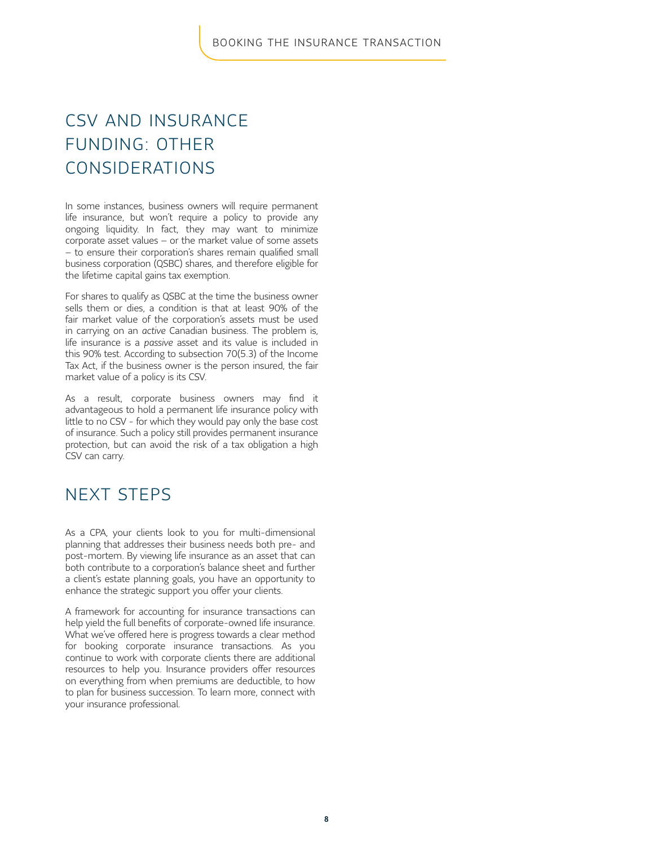# CSV AND INSURANCE FUNDING: OTHER CONSIDERATIONS

In some instances, business owners will require permanent life insurance, but won't require a policy to provide any ongoing liquidity. In fact, they may want to minimize corporate asset values – or the market value of some assets – to ensure their corporation's shares remain qualified small business corporation (QSBC) shares, and therefore eligible for the lifetime capital gains tax exemption.

For shares to qualify as QSBC at the time the business owner sells them or dies, a condition is that at least 90% of the fair market value of the corporation's assets must be used in carrying on an *active* Canadian business. The problem is, life insurance is a *passive* asset and its value is included in this 90% test. According to subsection 70(5.3) of the Income Tax Act, if the business owner is the person insured, the fair market value of a policy is its CSV.

As a result, corporate business owners may find it advantageous to hold a permanent life insurance policy with little to no CSV - for which they would pay only the base cost of insurance. Such a policy still provides permanent insurance protection, but can avoid the risk of a tax obligation a high CSV can carry.

# NEXT STEPS

As a CPA, your clients look to you for multi-dimensional planning that addresses their business needs both pre- and post-mortem. By viewing life insurance as an asset that can both contribute to a corporation's balance sheet and further a client's estate planning goals, you have an opportunity to enhance the strategic support you offer your clients.

A framework for accounting for insurance transactions can help yield the full benefits of corporate-owned life insurance. What we've offered here is progress towards a clear method for booking corporate insurance transactions. As you continue to work with corporate clients there are additional resources to help you. Insurance providers offer resources on everything from when premiums are deductible, to how to plan for business succession. To learn more, connect with your insurance professional.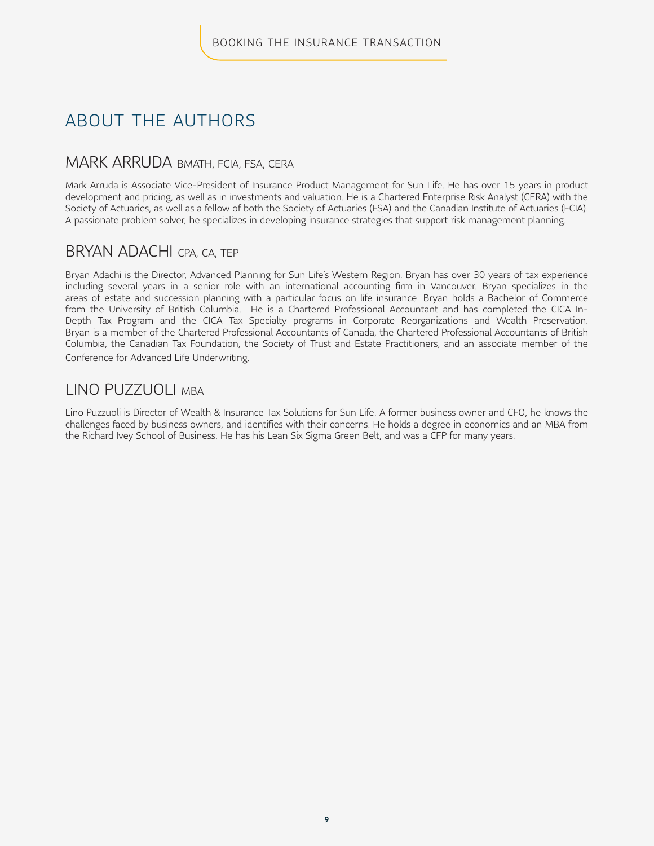# ABOUT THE AUTHORS

### MARK ARRUDA BMATH, FCIA, FSA, CERA

Mark Arruda is Associate Vice-President of Insurance Product Management for Sun Life. He has over 15 years in product development and pricing, as well as in investments and valuation. He is a Chartered Enterprise Risk Analyst (CERA) with the Society of Actuaries, as well as a fellow of both the Society of Actuaries (FSA) and the Canadian Institute of Actuaries (FCIA). A passionate problem solver, he specializes in developing insurance strategies that support risk management planning.

### BRYAN ADACHI CPA, CA, TEP

Bryan Adachi is the Director, Advanced Planning for Sun Life's Western Region. Bryan has over 30 years of tax experience including several years in a senior role with an international accounting firm in Vancouver. Bryan specializes in the areas of estate and succession planning with a particular focus on life insurance. Bryan holds a Bachelor of Commerce from the University of British Columbia. He is a Chartered Professional Accountant and has completed the CICA In-Depth Tax Program and the CICA Tax Specialty programs in Corporate Reorganizations and Wealth Preservation. Bryan is a member of the Chartered Professional Accountants of Canada, the Chartered Professional Accountants of British Columbia, the Canadian Tax Foundation, the Society of Trust and Estate Practitioners, and an associate member of the Conference for Advanced Life Underwriting.

### LINO PUZZUOLI MBA

Lino Puzzuoli is Director of Wealth & Insurance Tax Solutions for Sun Life. A former business owner and CFO, he knows the challenges faced by business owners, and identifies with their concerns. He holds a degree in economics and an MBA from the Richard Ivey School of Business. He has his Lean Six Sigma Green Belt, and was a CFP for many years.